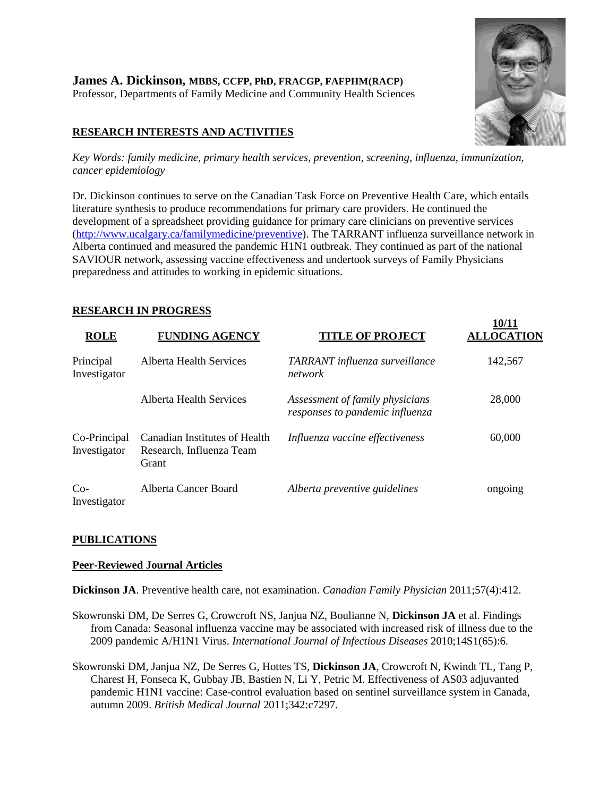# **RESEARCH INTERESTS AND ACTIVITIES**

**10/11** 

*Key Words: family medicine, primary health services, prevention, screening, influenza, immunization, cancer epidemiology*

Dr. Dickinson continues to serve on the Canadian Task Force on Preventive Health Care, which entails literature synthesis to produce recommendations for primary care providers. He continued the development of a spreadsheet providing guidance for primary care clinicians on preventive services [\(http://www.ucalgary.ca/familymedicine/preventive\)](http://www.ucalgary.ca/familymedicine/preventive). The TARRANT influenza surveillance network in Alberta continued and measured the pandemic H1N1 outbreak. They continued as part of the national SAVIOUR network, assessing vaccine effectiveness and undertook surveys of Family Physicians preparedness and attitudes to working in epidemic situations.

## **RESEARCH IN PROGRESS**

| <b>ROLE</b>                  | <b>FUNDING AGENCY</b>                                              | <b>TITLE OF PROJECT</b>                                            | 10/11<br><b>ALLOCATION</b> |
|------------------------------|--------------------------------------------------------------------|--------------------------------------------------------------------|----------------------------|
| Principal<br>Investigator    | <b>Alberta Health Services</b>                                     | TARRANT influenza surveillance<br>network                          | 142,567                    |
|                              | Alberta Health Services                                            | Assessment of family physicians<br>responses to pandemic influenza | 28,000                     |
| Co-Principal<br>Investigator | Canadian Institutes of Health<br>Research, Influenza Team<br>Grant | Influenza vaccine effectiveness                                    | 60,000                     |
| $Co-$<br>Investigator        | Alberta Cancer Board                                               | Alberta preventive guidelines                                      | ongoing                    |

### **PUBLICATIONS**

### **Peer-Reviewed Journal Articles**

**Dickinson JA**. Preventive health care, not examination. *Canadian Family Physician* 2011;57(4):412.

Skowronski DM, De Serres G, Crowcroft NS, Janjua NZ, Boulianne N, **Dickinson JA** et al. Findings from Canada: Seasonal influenza vaccine may be associated with increased risk of illness due to the 2009 pandemic A/H1N1 Virus. *International Journal of Infectious Diseases* 2010;14S1(65):6.

Skowronski DM, Janjua NZ, De Serres G, Hottes TS, **Dickinson JA**, Crowcroft N, Kwindt TL, Tang P, Charest H, Fonseca K, Gubbay JB, Bastien N, Li Y, Petric M. Effectiveness of AS03 adjuvanted pandemic H1N1 vaccine: Case-control evaluation based on sentinel surveillance system in Canada, autumn 2009. *British Medical Journal* 2011;342:c7297.